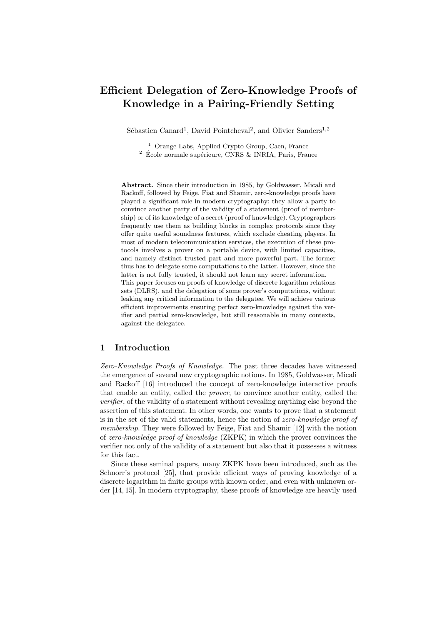# Efficient Delegation of Zero-Knowledge Proofs of Knowledge in a Pairing-Friendly Setting

Sébastien Canard<sup>1</sup>, David Pointcheval<sup>2</sup>, and Olivier Sanders<sup>1,2</sup>

<sup>1</sup> Orange Labs, Applied Crypto Group, Caen, France  $2\,$  École normale supérieure, CNRS & INRIA, Paris, France

Abstract. Since their introduction in 1985, by Goldwasser, Micali and Rackoff, followed by Feige, Fiat and Shamir, zero-knowledge proofs have played a significant role in modern cryptography: they allow a party to convince another party of the validity of a statement (proof of membership) or of its knowledge of a secret (proof of knowledge). Cryptographers frequently use them as building blocks in complex protocols since they offer quite useful soundness features, which exclude cheating players. In most of modern telecommunication services, the execution of these protocols involves a prover on a portable device, with limited capacities, and namely distinct trusted part and more powerful part. The former thus has to delegate some computations to the latter. However, since the latter is not fully trusted, it should not learn any secret information. This paper focuses on proofs of knowledge of discrete logarithm relations sets (DLRS), and the delegation of some prover's computations, without leaking any critical information to the delegatee. We will achieve various efficient improvements ensuring perfect zero-knowledge against the verifier and partial zero-knowledge, but still reasonable in many contexts, against the delegatee.

## 1 Introduction

Zero-Knowledge Proofs of Knowledge. The past three decades have witnessed the emergence of several new cryptographic notions. In 1985, Goldwasser, Micali and Rackoff [16] introduced the concept of zero-knowledge interactive proofs that enable an entity, called the prover, to convince another entity, called the verifier, of the validity of a statement without revealing anything else beyond the assertion of this statement. In other words, one wants to prove that a statement is in the set of the valid statements, hence the notion of zero-knowledge proof of membership. They were followed by Feige, Fiat and Shamir [12] with the notion of zero-knowledge proof of knowledge (ZKPK) in which the prover convinces the verifier not only of the validity of a statement but also that it possesses a witness for this fact.

Since these seminal papers, many ZKPK have been introduced, such as the Schnorr's protocol [25], that provide efficient ways of proving knowledge of a discrete logarithm in finite groups with known order, and even with unknown order [14, 15]. In modern cryptography, these proofs of knowledge are heavily used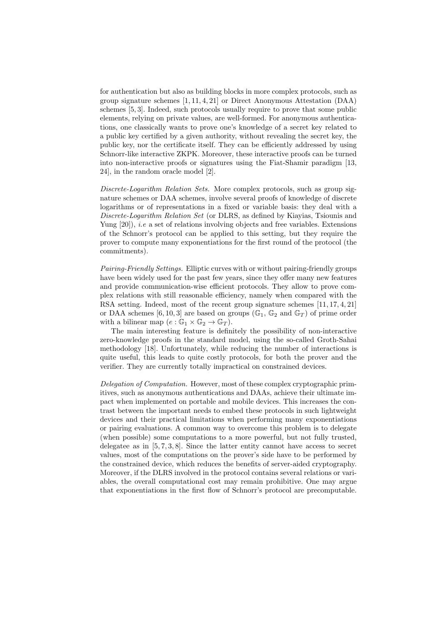for authentication but also as building blocks in more complex protocols, such as group signature schemes [1, 11, 4, 21] or Direct Anonymous Attestation (DAA) schemes [5, 3]. Indeed, such protocols usually require to prove that some public elements, relying on private values, are well-formed. For anonymous authentications, one classically wants to prove one's knowledge of a secret key related to a public key certified by a given authority, without revealing the secret key, the public key, nor the certificate itself. They can be efficiently addressed by using Schnorr-like interactive ZKPK. Moreover, these interactive proofs can be turned into non-interactive proofs or signatures using the Fiat-Shamir paradigm [13, 24], in the random oracle model [2].

Discrete-Logarithm Relation Sets. More complex protocols, such as group signature schemes or DAA schemes, involve several proofs of knowledge of discrete logarithms or of representations in a fixed or variable basis: they deal with a Discrete-Logarithm Relation Set (or DLRS, as defined by Kiayias, Tsiounis and Yung  $[20]$ , *i.e* a set of relations involving objects and free variables. Extensions of the Schnorr's protocol can be applied to this setting, but they require the prover to compute many exponentiations for the first round of the protocol (the commitments).

Pairing-Friendly Settings. Elliptic curves with or without pairing-friendly groups have been widely used for the past few years, since they offer many new features and provide communication-wise efficient protocols. They allow to prove complex relations with still reasonable efficiency, namely when compared with the RSA setting. Indeed, most of the recent group signature schemes [11, 17, 4, 21] or DAA schemes [6, 10, 3] are based on groups ( $\mathbb{G}_1$ ,  $\mathbb{G}_2$  and  $\mathbb{G}_T$ ) of prime order with a bilinear map  $(e : \mathbb{G}_1 \times \mathbb{G}_2 \to \mathbb{G}_T)$ .

The main interesting feature is definitely the possibility of non-interactive zero-knowledge proofs in the standard model, using the so-called Groth-Sahai methodology [18]. Unfortunately, while reducing the number of interactions is quite useful, this leads to quite costly protocols, for both the prover and the verifier. They are currently totally impractical on constrained devices.

Delegation of Computation. However, most of these complex cryptographic primitives, such as anonymous authentications and DAAs, achieve their ultimate impact when implemented on portable and mobile devices. This increases the contrast between the important needs to embed these protocols in such lightweight devices and their practical limitations when performing many exponentiations or pairing evaluations. A common way to overcome this problem is to delegate (when possible) some computations to a more powerful, but not fully trusted, delegatee as in [5, 7, 3, 8]. Since the latter entity cannot have access to secret values, most of the computations on the prover's side have to be performed by the constrained device, which reduces the benefits of server-aided cryptography. Moreover, if the DLRS involved in the protocol contains several relations or variables, the overall computational cost may remain prohibitive. One may argue that exponentiations in the first flow of Schnorr's protocol are precomputable.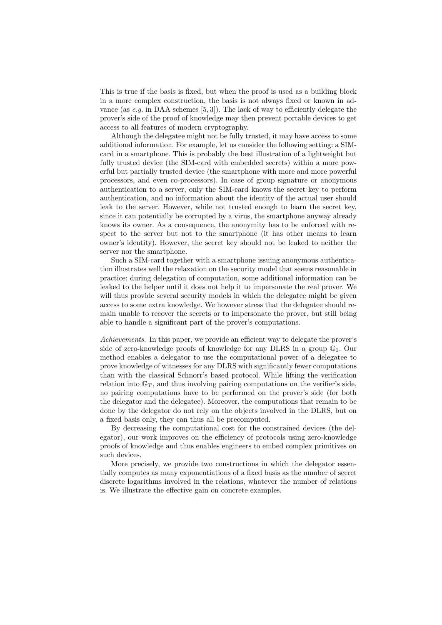This is true if the basis is fixed, but when the proof is used as a building block in a more complex construction, the basis is not always fixed or known in advance (as  $e.g.$  in DAA schemes [5, 3]). The lack of way to efficiently delegate the prover's side of the proof of knowledge may then prevent portable devices to get access to all features of modern cryptography.

Although the delegatee might not be fully trusted, it may have access to some additional information. For example, let us consider the following setting: a SIMcard in a smartphone. This is probably the best illustration of a lightweight but fully trusted device (the SIM-card with embedded secrets) within a more powerful but partially trusted device (the smartphone with more and more powerful processors, and even co-processors). In case of group signature or anonymous authentication to a server, only the SIM-card knows the secret key to perform authentication, and no information about the identity of the actual user should leak to the server. However, while not trusted enough to learn the secret key, since it can potentially be corrupted by a virus, the smartphone anyway already knows its owner. As a consequence, the anonymity has to be enforced with respect to the server but not to the smartphone (it has other means to learn owner's identity). However, the secret key should not be leaked to neither the server nor the smartphone.

Such a SIM-card together with a smartphone issuing anonymous authentication illustrates well the relaxation on the security model that seems reasonable in practice: during delegation of computation, some additional information can be leaked to the helper until it does not help it to impersonate the real prover. We will thus provide several security models in which the delegatee might be given access to some extra knowledge. We however stress that the delegatee should remain unable to recover the secrets or to impersonate the prover, but still being able to handle a significant part of the prover's computations.

Achievements. In this paper, we provide an efficient way to delegate the prover's side of zero-knowledge proofs of knowledge for any DLRS in a group  $\mathbb{G}_1$ . Our method enables a delegator to use the computational power of a delegatee to prove knowledge of witnesses for any DLRS with significantly fewer computations than with the classical Schnorr's based protocol. While lifting the verification relation into  $\mathbb{G}_T$ , and thus involving pairing computations on the verifier's side, no pairing computations have to be performed on the prover's side (for both the delegator and the delegatee). Moreover, the computations that remain to be done by the delegator do not rely on the objects involved in the DLRS, but on a fixed basis only, they can thus all be precomputed.

By decreasing the computational cost for the constrained devices (the delegator), our work improves on the efficiency of protocols using zero-knowledge proofs of knowledge and thus enables engineers to embed complex primitives on such devices.

More precisely, we provide two constructions in which the delegator essentially computes as many exponentiations of a fixed basis as the number of secret discrete logarithms involved in the relations, whatever the number of relations is. We illustrate the effective gain on concrete examples.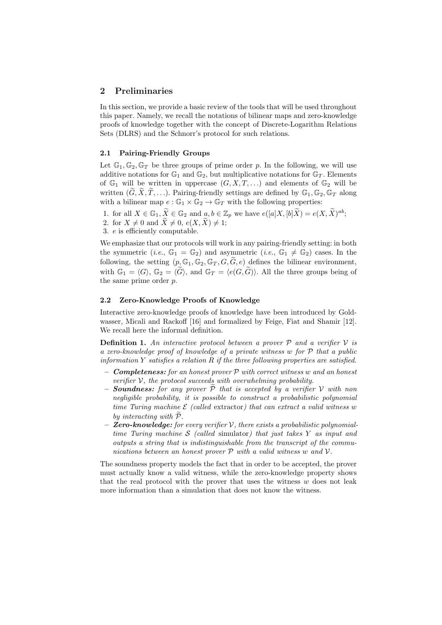## 2 Preliminaries

In this section, we provide a basic review of the tools that will be used throughout this paper. Namely, we recall the notations of bilinear maps and zero-knowledge proofs of knowledge together with the concept of Discrete-Logarithm Relations Sets (DLRS) and the Schnorr's protocol for such relations.

## 2.1 Pairing-Friendly Groups

Let  $\mathbb{G}_1, \mathbb{G}_2, \mathbb{G}_T$  be three groups of prime order p. In the following, we will use additive notations for  $\mathbb{G}_1$  and  $\mathbb{G}_2$ , but multiplicative notations for  $\mathbb{G}_T$ . Elements of  $\mathbb{G}_1$  will be written in uppercase  $(G, X, T, \ldots)$  and elements of  $\mathbb{G}_2$  will be written  $(\widetilde{G}, \widetilde{X}, \widetilde{T}, \ldots)$ . Pairing-friendly settings are defined by  $\mathbb{G}_1, \mathbb{G}_2, \mathbb{G}_T$  along with a bilinear map  $e : \mathbb{G}_1 \times \mathbb{G}_2 \to \mathbb{G}_T$  with the following properties:

- 1. for all  $X \in \mathbb{G}_1, \widetilde{X} \in \mathbb{G}_2$  and  $a, b \in \mathbb{Z}_p$  we have  $e([a]X, [b]\widetilde{X}) = e(X, \widetilde{X})^{ab};$
- 2. for  $X \neq 0$  and  $\widetilde{X} \neq 0$ ,  $e(X, \widetilde{X}) \neq 1$ ;
- 3. e is efficiently computable.

We emphasize that our protocols will work in any pairing-friendly setting: in both the symmetric (*i.e.*,  $\mathbb{G}_1 = \mathbb{G}_2$ ) and asymmetric (*i.e.*,  $\mathbb{G}_1 \neq \mathbb{G}_2$ ) cases. In the following, the setting  $(p, \mathbb{G}_1, \mathbb{G}_2, \mathbb{G}_T, G, G, e)$  defines the bilinear environment, with  $\mathbb{G}_1 = \langle G \rangle$ ,  $\mathbb{G}_2 = \langle \widetilde{G} \rangle$ , and  $\mathbb{G}_T = \langle e(G, \widetilde{G}) \rangle$ . All the three groups being of the same prime order p.

## 2.2 Zero-Knowledge Proofs of Knowledge

Interactive zero-knowledge proofs of knowledge have been introduced by Goldwasser, Micali and Rackoff [16] and formalized by Feige, Fiat and Shamir [12]. We recall here the informal definition.

**Definition 1.** An interactive protocol between a prover  $P$  and a verifier  $V$  is a zero-knowledge proof of knowledge of a private witness w for P that a public information  $Y$  satisfies a relation  $R$  if the three following properties are satisfied.

- **Completeness:** for an honest prover  $P$  with correct witness w and an honest verifier  $V$ , the protocol succeeds with overwhelming probability.
- **Soundness:** for any prover  $P$  that is accepted by a verifier  $V$  with non negligible probability, it is possible to construct a probabilistic polynomial time Turing machine  $\mathcal E$  (called extractor) that can extract a valid witness w by interacting with  $P$ .
- **Zero-knowledge:** for every verifier  $V$ , there exists a probabilistic polynomialtime Turing machine  $S$  (called simulator) that just takes  $Y$  as input and outputs a string that is indistinguishable from the transcript of the communications between an honest prover  $P$  with a valid witness w and  $V$ .

The soundness property models the fact that in order to be accepted, the prover must actually know a valid witness, while the zero-knowledge property shows that the real protocol with the prover that uses the witness  $w$  does not leak more information than a simulation that does not know the witness.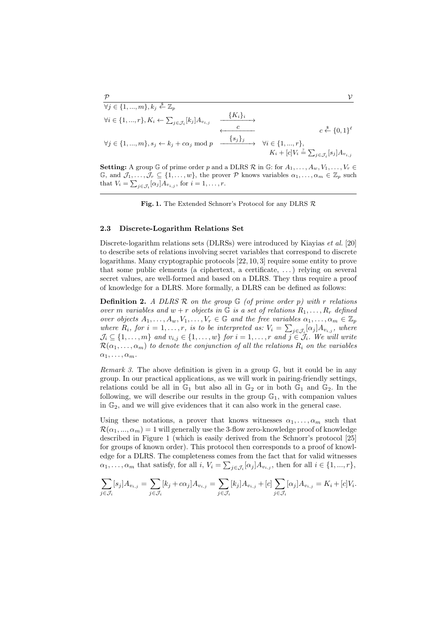#### $\mathcal P$   $\mathcal V$  $\forall j \in \{1, ..., m\}, k_j \overset{\hspace{0.1em}\mathsf{\scriptscriptstyle\$}}{\leftarrow} \mathbb{Z}_p$  $\forall i \in \{1, ..., r\}, K_i \leftarrow \sum_{j \in \mathcal{J}_i} [k_j] A_{v_{i,j}}$  $\xrightarrow{\{K_i\}_i}$ <sup>c</sup> ←−−−−−−−− <sup>c</sup>  $\xi^* \{0,1\}^{\ell}$  $\forall j \in \{1, ..., m\}, s_j \leftarrow k_j + c\alpha_j \text{ mod } p$  ${s_j}_j$  $\forall i \in \{1, ..., r\},\$  $K_i + [c]V_i \stackrel{?}{=} \sum_{j \in \mathcal{J}_i} [s_j] A_{v_{i,j}}$

**Setting:** A group  $\mathbb{G}$  of prime order p and a DLRS  $\mathcal{R}$  in  $\mathbb{G}$ : for  $A_1, \ldots, A_w, V_1, \ldots, V_r \in$  $\mathbb{G}$ , and  $\mathcal{J}_1,\ldots,\mathcal{J}_r\subseteq\{1,\ldots,w\}$ , the prover  $\mathcal P$  knows variables  $\alpha_1,\ldots,\alpha_m\in\mathbb{Z}_p$  such that  $V_i = \sum_{j \in \mathcal{J}_i} [\alpha_j] A_{v_{i,j}}$ , for  $i = 1, \ldots, r$ .

Fig. 1. The Extended Schnorr's Protocol for any DLRS  $\mathcal R$ 

#### 2.3 Discrete-Logarithm Relations Set

Discrete-logarithm relations sets (DLRSs) were introduced by Kiayias et al. [20] to describe sets of relations involving secret variables that correspond to discrete logarithms. Many cryptographic protocols [22, 10, 3] require some entity to prove that some public elements (a ciphertext, a certificate, . . . ) relying on several secret values, are well-formed and based on a DLRS. They thus require a proof of knowledge for a DLRS. More formally, a DLRS can be defined as follows:

**Definition 2.** A DLRS  $\mathcal{R}$  on the group  $\mathbb{G}$  (of prime order p) with r relations over m variables and  $w + r$  objects in  $\mathbb G$  is a set of relations  $R_1, \ldots, R_r$  defined over objects  $A_1, \ldots, A_w, V_1, \ldots, V_r \in \mathbb{G}$  and the free variables  $\alpha_1, \ldots, \alpha_m \in \mathbb{Z}_p$ where  $R_i$ , for  $i = 1, \ldots, r$ , is to be interpreted as:  $V_i = \sum_{j \in \mathcal{J}_i} [\alpha_j] A_{v_{i,j}},$  where  $\mathcal{J}_i \subseteq \{1, \ldots, m\}$  and  $v_{i,j} \in \{1, \ldots, w\}$  for  $i = 1, \ldots, r$  and  $j \in \mathcal{J}_i$ . We will write  $\mathcal{R}(\alpha_1,\ldots,\alpha_m)$  to denote the conjunction of all the relations  $R_i$  on the variables  $\alpha_1, \ldots, \alpha_m$ .

*Remark 3.* The above definition is given in a group  $\mathbb{G}$ , but it could be in any group. In our practical applications, as we will work in pairing-friendly settings, relations could be all in  $\mathbb{G}_1$  but also all in  $\mathbb{G}_2$  or in both  $\mathbb{G}_1$  and  $\mathbb{G}_2$ . In the following, we will describe our results in the group  $\mathbb{G}_1$ , with companion values in  $\mathbb{G}_2$ , and we will give evidences that it can also work in the general case.

Using these notations, a prover that knows witnesses  $\alpha_1, \ldots, \alpha_m$  such that  $\mathcal{R}(\alpha_1, ..., \alpha_m) = 1$  will generally use the 3-flow zero-knowledge proof of knowledge described in Figure 1 (which is easily derived from the Schnorr's protocol [25] for groups of known order). This protocol then corresponds to a proof of knowledge for a DLRS. The completeness comes from the fact that for valid witnesses  $\alpha_1, \ldots, \alpha_m$  that satisfy, for all  $i, V_i = \sum_{j \in \mathcal{J}_i} [\alpha_j] A_{v_{i,j}},$  then for all  $i \in \{1, ..., r\},$ 

$$
\sum_{j \in \mathcal{J}_i} [s_j] A_{v_{i,j}} = \sum_{j \in \mathcal{J}_i} [k_j + c\alpha_j] A_{v_{i,j}} = \sum_{j \in \mathcal{J}_i} [k_j] A_{v_{i,j}} + [c] \sum_{j \in \mathcal{J}_i} [\alpha_j] A_{v_{i,j}} = K_i + [c] V_i.
$$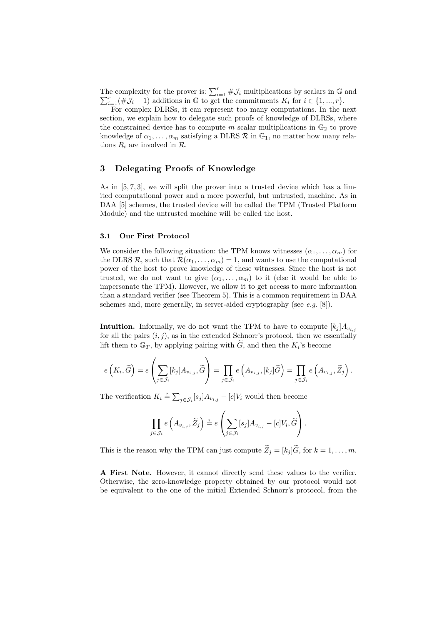The complexity for the prover is:  $\sum_{i=1}^{r} \# \mathcal{J}_i$  multiplications by scalars in  $\mathbb{G}$  and  $\sum_{i=1}^r (\#\mathcal{J}_i-1)$  additions in G to get the commitments  $K_i$  for  $i \in \{1, ..., r\}$ .

For complex DLRSs, it can represent too many computations. In the next section, we explain how to delegate such proofs of knowledge of DLRSs, where the constrained device has to compute m scalar multiplications in  $\mathbb{G}_2$  to prove knowledge of  $\alpha_1, \ldots, \alpha_m$  satisfying a DLRS  $\mathcal R$  in  $\mathbb G_1$ , no matter how many relations  $R_i$  are involved in  $\mathcal{R}$ .

## 3 Delegating Proofs of Knowledge

As in [5, 7, 3], we will split the prover into a trusted device which has a limited computational power and a more powerful, but untrusted, machine. As in DAA [5] schemes, the trusted device will be called the TPM (Trusted Platform Module) and the untrusted machine will be called the host.

#### 3.1 Our First Protocol

We consider the following situation: the TPM knows witnesses  $(\alpha_1, \ldots, \alpha_m)$  for the DLRS R, such that  $\mathcal{R}(\alpha_1, \ldots, \alpha_m) = 1$ , and wants to use the computational power of the host to prove knowledge of these witnesses. Since the host is not trusted, we do not want to give  $(\alpha_1, \ldots, \alpha_m)$  to it (else it would be able to impersonate the TPM). However, we allow it to get access to more information than a standard verifier (see Theorem 5). This is a common requirement in DAA schemes and, more generally, in server-aided cryptography (see  $e.g.$  [8]).

**Intuition.** Informally, we do not want the TPM to have to compute  $[k_j]A_{v_{i,j}}$ for all the pairs  $(i, j)$ , as in the extended Schnorr's protocol, then we essentially lift them to  $\mathbb{G}_T$ , by applying pairing with  $\widetilde{G}$ , and then the  $K_i$ 's become

$$
e\left(K_i,\widetilde{G}\right)=e\left(\sum_{j\in\mathcal{J}_i}[k_j]A_{v_{i,j}},\widetilde{G}\right)=\prod_{j\in\mathcal{J}_i}e\left(A_{v_{i,j}},[k_j]\widetilde{G}\right)=\prod_{j\in\mathcal{J}_i}e\left(A_{v_{i,j}},\widetilde{Z}_j\right).
$$

The verification  $K_i \stackrel{\text{?}}{=} \sum_{j \in \mathcal{J}_i} [s_j] A_{v_{i,j}} - [c] V_i$  would then become

$$
\prod_{j\in\mathcal{J}_i} e\left(A_{v_{i,j}}, \widetilde{Z}_j\right) \stackrel{\cdot}{=} e\left(\sum_{j\in\mathcal{J}_i} [s_j] A_{v_{i,j}} - [c]V_i, \widetilde{G}\right).
$$

This is the reason why the TPM can just compute  $\widetilde{Z}_i = [k_i] \widetilde{G}$ , for  $k = 1, \ldots, m$ .

A First Note. However, it cannot directly send these values to the verifier. Otherwise, the zero-knowledge property obtained by our protocol would not be equivalent to the one of the initial Extended Schnorr's protocol, from the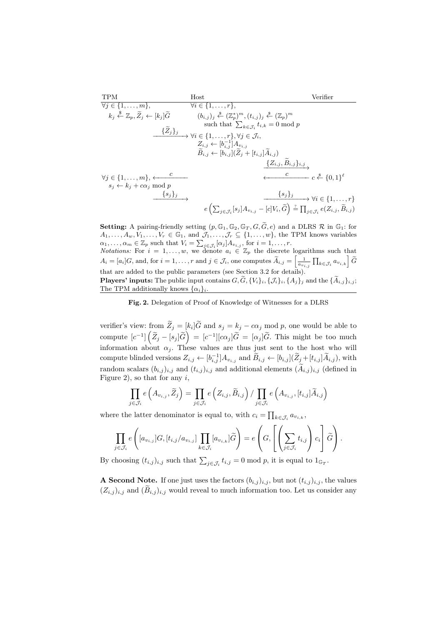$$
\begin{array}{ll}\n\text{TPM} & \text{Host} & \text{Verifier} \\
\hline\n\forall j \in \{1, \ldots, m\}, & \forall i \in \{1, \ldots, r\}, \\
k_j \stackrel{\$}{} \stackrel{\$}{} \leq \mathbb{Z}_p, \widetilde{Z}_j \leftarrow [k_j] \widetilde{G} & (b_{i,j})_j \stackrel{\$}{} \stackrel{\$}{} \leq \mathbb{Z}_p^* \right)^m, (t_{i,j})_j \stackrel{\$}{} \stackrel{\$}{} \leq \mathbb{Z}_p)^m \\
\text{such that } \sum_{k \in \mathcal{J}_i} t_{i,k} = 0 \text{ mod } p \\
& \xrightarrow{\{\widetilde{Z}_j\}_j} & \forall i \in \{1, \ldots, r\}, \forall j \in \mathcal{J}_i, \\
Z_{i,j} \leftarrow [b_{i,j}^{-1}] A_{v_{i,j}} \\
\widetilde{B}_{i,j} \leftarrow [b_{i,j}] (\widetilde{Z}_j + [t_{i,j}] \widetilde{A}_{i,j}) \\
& \xrightarrow{\{Z_{i,j}, \widetilde{B}_{i,j}\}_{i,j}} \\
\forall j \in \{1, \ldots, m\}, \xleftarrow{c} & c \stackrel{\$}{} \in \{0, 1\}^{\ell} \\
s_j \leftarrow k_j + c\alpha_j \text{ mod } p & \xrightarrow{\{s_j\}_j} & \xrightarrow{\{s_j\}_j} & \forall i \in \{1, \ldots, r\} \\
e\left(\sum_{j \in \mathcal{J}_i} [s_j] A_{v_{i,j}} - [c] V_i, \widetilde{G}\right) \stackrel{\text{?}}{=} \prod_{j \in \mathcal{J}_i} e(Z_{i,j}, \widetilde{B}_{i,j})\n\end{array}
$$

**Setting:** A pairing-friendly setting  $(p, \mathbb{G}_1, \mathbb{G}_2, \mathbb{G}_T, G, \widetilde{G}, e)$  and a DLRS  $\mathcal{R}$  in  $\mathbb{G}_1$ : for  $A_1, \ldots, A_w, V_1, \ldots, V_r \in \mathbb{G}_1$ , and  $\mathcal{J}_1, \ldots, \mathcal{J}_r \subseteq \{1, \ldots, w\}$ , the TPM knows variables  $\alpha_1, \ldots, \alpha_m \in \mathbb{Z}_p$  such that  $V_i = \sum_{j \in \mathcal{J}_i} [\alpha_j] A_{v_{i,j}},$  for  $i = 1, \ldots, r$ . *Notations:* For  $i = 1, \ldots, w$ , we denote  $a_i \in \mathbb{Z}_p$  the discrete logarithms such that  $A_i = [a_i]G, \text{ and, for } i = 1, \ldots, r \text{ and } j \in \mathcal{J}_i, \text{ one computes } \widetilde{A}_{i,j} = \left[\frac{1}{a_{v_{i,j}}}\prod_{k \in \mathcal{J}_i} a_{v_{i,k}}\right]\widetilde{G}$ that are added to the public parameters (see Section 3.2 for details). **Players' inputs:** The public input contains  $G, \widetilde{G}, \{V_i\}_i, \{J_i\}_i, \{A_i\}_i$  and the  $\{\widetilde{A}_{i,j}\}_{i,j}$ ; The TPM additionally knows  $\{\alpha_i\}_i$ 

Fig. 2. Delegation of Proof of Knowledge of Witnesses for a DLRS

verifier's view: from  $Z_j = [k_i]G$  and  $s_j = k_j - c\alpha_j \mod p$ , one would be able to compute  $[c^{-1}]\left(\widetilde{Z}_j-[s_j]\widetilde{G}\right)=[c^{-1}][c\alpha_j]\widetilde{G}=[\alpha_j]\widetilde{G}.$  This might be too much information about  $\alpha_j$ . These values are thus just sent to the host who will compute blinded versions  $Z_{i,j} \leftarrow [b_{i,j}^{-1}] A_{v_{i,j}}$  and  $\widetilde{B}_{i,j} \leftarrow [b_{i,j}](\widetilde{Z}_{j} + [t_{i,j}]\widetilde{A}_{i,j})$ , with random scalars  $(b_{i,j})_{i,j}$  and  $(t_{i,j})_{i,j}$  and additional elements  $(\widetilde{A}_{i,j})_{i,j}$  (defined in Figure 2), so that for any  $i$ ,

$$
\prod_{j \in \mathcal{J}_i} e\left(A_{v_{i,j}}, \widetilde{Z}_j\right) = \prod_{j \in \mathcal{J}_i} e\left(Z_{i,j}, \widetilde{B}_{i,j}\right) / \prod_{j \in \mathcal{J}_i} e\left(A_{v_{i,j}}, [t_{i,j}] \widetilde{A}_{i,j}\right)
$$

where the latter denominator is equal to, with  $c_i = \prod_{k \in \mathcal{J}_i} a_{v_{i,k}}$ ,

$$
\prod_{j\in\mathcal{J}_i} e\left([a_{v_{i,j}}]G, [t_{i,j}/a_{v_{i,j}}] \prod_{k\in\mathcal{J}_i} [a_{v_{i,k}}] \widetilde{G}\right) = e\left(G, \left[\left(\sum_{j\in\mathcal{J}_i} t_{i,j}\right) c_i\right] \widetilde{G}\right).
$$

By choosing  $(t_{i,j})_{i,j}$  such that  $\sum_{j\in\mathcal{J}_i} t_{i,j} = 0 \mod p$ , it is equal to  $1_{\mathbb{G}_T}$ .

A Second Note. If one just uses the factors  $(b_{i,j})_{i,j}$ , but not  $(t_{i,j})_{i,j}$ , the values  $(Z_{i,j})_{i,j}$  and  $(\tilde{B}_{i,j})_{i,j}$  would reveal to much information too. Let us consider any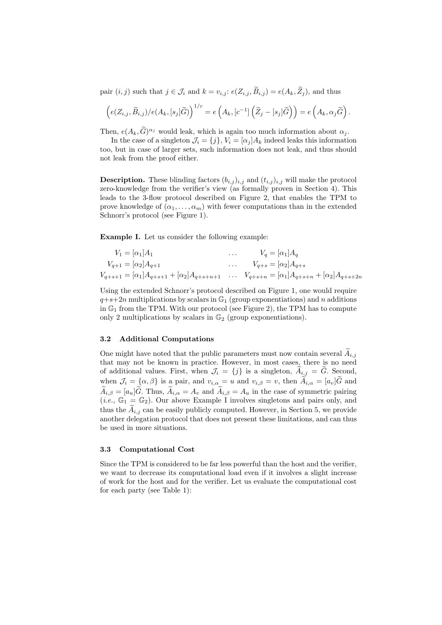pair  $(i, j)$  such that  $j \in \mathcal{J}_i$  and  $k = v_{i,j}$ :  $e(Z_{i,j}, \widetilde{B}_{i,j}) = e(A_k, \widetilde{Z}_j)$ , and thus

$$
\left(e(Z_{i,j}, \widetilde{B}_{i,j})/e(A_k, [s_j]\widetilde{G})\right)^{1/c} = e\left(A_k, [c^{-1}]\left(\widetilde{Z}_j - [s_j]\widetilde{G}\right)\right) = e\left(A_k, \alpha_j\widetilde{G}\right).
$$

Then,  $e(A_k, \tilde{G})^{\alpha_j}$  would leak, which is again too much information about  $\alpha_j$ .

In the case of a singleton  $\mathcal{J}_i = \{j\}, V_i = [\alpha_j]A_k$  indeed leaks this information too, but in case of larger sets, such information does not leak, and thus should not leak from the proof either.

**Description.** These blinding factors  $(b_{i,j})_{i,j}$  and  $(t_{i,j})_{i,j}$  will make the protocol zero-knowledge from the verifier's view (as formally proven in Section 4). This leads to the 3-flow protocol described on Figure 2, that enables the TPM to prove knowledge of  $(\alpha_1, \ldots, \alpha_m)$  with fewer computations than in the extended Schnorr's protocol (see Figure 1).

Example I. Let us consider the following example:

$$
V_1 = [\alpha_1] A_1 \qquad \dots \qquad V_q = [\alpha_1] A_q
$$
  
\n
$$
V_{q+1} = [\alpha_2] A_{q+1} \qquad \dots \qquad V_{q+s} = [\alpha_2] A_{q+s}
$$
  
\n
$$
V_{q+s+1} = [\alpha_1] A_{q+s+1} + [\alpha_2] A_{q+s+n+1} \qquad \dots \qquad V_{q+s+n} = [\alpha_1] A_{q+s+n} + [\alpha_2] A_{q+s+2n}
$$

Using the extended Schnorr's protocol described on Figure 1, one would require  $q+s+2n$  multiplications by scalars in  $\mathbb{G}_1$  (group exponentiations) and n additions in  $\mathbb{G}_1$  from the TPM. With our protocol (see Figure 2), the TPM has to compute only 2 multiplications by scalars in  $\mathbb{G}_2$  (group exponentiations).

## 3.2 Additional Computations

One might have noted that the public parameters must now contain several  $\widetilde{A}_{i,j}$ that may not be known in practice. However, in most cases, there is no need of additional values. First, when  $\mathcal{J}_i = \{j\}$  is a singleton,  $\widetilde{A}_{i,j} = \widetilde{G}$ . Second, when  $\mathcal{J}_i = {\alpha, \beta}$  is a pair, and  $v_{i,\alpha} = u$  and  $v_{i,\beta} = v$ , then  $\widetilde{A}_{i,\alpha} = [a_v]\widetilde{G}$  and  $\widetilde{A}_{i,\beta} = [a_u]\widetilde{G}$ . Thus,  $\widetilde{A}_{i,\alpha} = A_v$  and  $\widetilde{A}_{i,\beta} = A_u$  in the case of symmetric pairing (*i.e.*,  $\mathbb{G}_1 = \mathbb{G}_2$ ). Our above Example I involves singletons and pairs only, and thus the  $A_{i,j}$  can be easily publicly computed. However, in Section 5, we provide another delegation protocol that does not present these limitations, and can thus be used in more situations.

#### 3.3 Computational Cost

Since the TPM is considered to be far less powerful than the host and the verifier, we want to decrease its computational load even if it involves a slight increase of work for the host and for the verifier. Let us evaluate the computational cost for each party (see Table 1):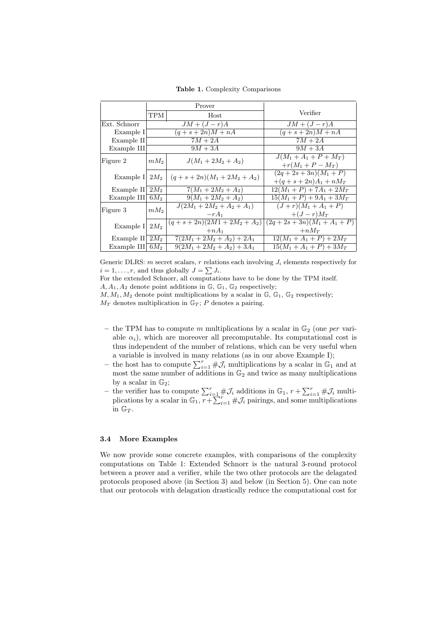Table 1. Complexity Comparisons

|                    | Prover          |                                     |                                 |
|--------------------|-----------------|-------------------------------------|---------------------------------|
|                    | TPM             | Host                                | Verifier                        |
| Ext. Schnorr       | $JM + (J - r)A$ |                                     | $JM + (J - r)A$                 |
| Example I          | $(q+s+2n)M+nA$  |                                     | $(q+\overline{s+2n)M+nA}$       |
| Example II         | $7M + 2A$       |                                     | $7M+2A$                         |
| Example III        | $9M + 3A$       |                                     | $9M + 3A$                       |
| Figure 2           | $mM_2$          | $J(M_1 + 2M_2 + A_2)$               | $J(M_1 + A_1 + P + M_T)$        |
|                    |                 |                                     | $+r(M_1 + P - M_T)$             |
| Example I  $2M_2$  |                 | $(q+s+2n)(M_1+2M_2+A_2)$            | $(2q+2s+3n)(M_1+P)$             |
|                    |                 |                                     | $+(q+s+2n)A_1 + nM_T$           |
| Example II         | $2M_2$          | $7(M_1+2M_2+A_2)$                   | $\frac{12(M_1+P)+7A_1+2M_T}{1}$ |
| Example III        | $6M_2$          | $9(M_1 + 2M_2 + A_2)$               | $15(M_1 + P) + 9A_1 + 3M_T$     |
| Figure 3           | $mM_2$          | $J(2M_1 + 2M_2 + A_2 + A_1)$        | $(J + r)(M_1 + A_1 + P)$        |
|                    |                 | $-rA_1$                             | $+(J-r)M_T$                     |
| Example I $2M_2$   |                 | $(q+s+2n)(2M\overline{1+2M_2+A_2})$ | $(2q+2s+3n)(M_1+A_1+P)$         |
|                    |                 | $+nA_1$                             | $+nM_{T}$                       |
| Example II $2M_2$  |                 | $7(2M_1 + 2M_2 + A_2) + 2A_1$       | $12(M_1 + A_1 + P) + 2M_T$      |
| Example III $6M_2$ |                 | $9(2M_1 + 2M_2 + A_2) + 3A_1$       | $15(M_1 + A_1 + P) + 3M_T$      |

Generic DLRS: m secret scalars, r relations each involving  $J_i$  elements respectively for  $i = 1, \ldots, r$ , and thus globally  $J = \sum J_i$ .

For the extended Schnorr, all computations have to be done by the TPM itself.

 $A, A_1, A_2$  denote point additions in  $\mathbb{G}, \mathbb{G}_1, \mathbb{G}_2$  respectively;

 $M, M_1, M_2$  denote point multiplications by a scalar in  $\mathbb{G}, \mathbb{G}_1, \mathbb{G}_2$  respectively;  $M_T$  denotes multiplication in  $\mathbb{G}_T$ ; P denotes a pairing.

- the TPM has to compute m multiplications by a scalar in  $\mathbb{G}_2$  (one per variable  $\alpha_i$ ), which are moreover all precomputable. Its computational cost is thus independent of the number of relations, which can be very useful when a variable is involved in many relations (as in our above Example I);
- the host has to compute  $\sum_{i=1}^{r} \# \mathcal{J}_i$  multiplications by a scalar in  $\mathbb{G}_1$  and at most the same number of additions in  $\mathbb{G}_2$  and twice as many multiplications by a scalar in  $\mathbb{G}_2$ ;
- the verifier has to compute  $\sum_{i=1}^r \# \mathcal{J}_i$  additions in  $\mathbb{G}_1$ ,  $r + \sum_{i=1}^r \# \mathcal{J}_i$  multiplications by a scalar in  $\mathbb{G}_1, \tau + \sum_{i=1}^r \# \mathcal{J}_i$  pairings, and some multiplications in  $\mathbb{G}_T$ .

#### 3.4 More Examples

We now provide some concrete examples, with comparisons of the complexity computations on Table 1: Extended Schnorr is the natural 3-round protocol between a prover and a verifier, while the two other protocols are the delagated protocols proposed above (in Section 3) and below (in Section 5). One can note that our protocols with delagation drastically reduce the computational cost for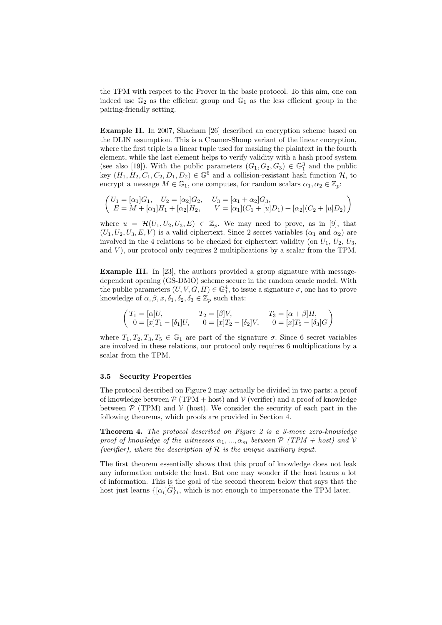the TPM with respect to the Prover in the basic protocol. To this aim, one can indeed use  $\mathbb{G}_2$  as the efficient group and  $\mathbb{G}_1$  as the less efficient group in the pairing-friendly setting.

Example II. In 2007, Shacham [26] described an encryption scheme based on the DLIN assumption. This is a Cramer-Shoup variant of the linear encryption, where the first triple is a linear tuple used for masking the plaintext in the fourth element, while the last element helps to verify validity with a hash proof system (see also [19]). With the public parameters  $(G_1, G_2, G_3) \in \mathbb{G}_1^3$  and the public key  $(H_1, H_2, C_1, C_2, D_1, D_2) \in \mathbb{G}_1^6$  and a collision-resistant hash function  $\mathcal{H}$ , to encrypt a message  $M \in \mathbb{G}_1$ , one computes, for random scalars  $\alpha_1, \alpha_2 \in \mathbb{Z}_p$ :

$$
\begin{pmatrix}\nU_1 = [\alpha_1]G_1, & U_2 = [\alpha_2]G_2, & U_3 = [\alpha_1 + \alpha_2]G_3, \\
E = M + [\alpha_1]H_1 + [\alpha_2]H_2, & V = [\alpha_1](C_1 + [u]D_1) + [\alpha_2](C_2 + [u]D_2)\n\end{pmatrix}
$$

where  $u = \mathcal{H}(U_1, U_2, U_3, E) \in \mathbb{Z}_p$ . We may need to prove, as in [9], that  $(U_1, U_2, U_3, E, V)$  is a valid ciphertext. Since 2 secret variables  $(\alpha_1 \text{ and } \alpha_2)$  are involved in the 4 relations to be checked for ciphertext validity (on  $U_1, U_2, U_3$ , and  $V$ ), our protocol only requires 2 multiplications by a scalar from the TPM.

Example III. In [23], the authors provided a group signature with messagedependent opening (GS-DMO) scheme secure in the random oracle model. With the public parameters  $(U, V, G, H) \in \mathbb{G}_1^4$ , to issue a signature  $\sigma$ , one has to prove knowledge of  $\alpha, \beta, x, \delta_1, \delta_2, \delta_3 \in \mathbb{Z}_p$  such that:

$$
\begin{pmatrix} T_1 = [\alpha]U, & T_2 = [\beta]V, & T_3 = [\alpha + \beta]H, \\ 0 = [x]T_1 - [\delta_1]U, & 0 = [x]T_2 - [\delta_2]V, & 0 = [x]T_5 - [\delta_3]G \end{pmatrix}
$$

where  $T_1, T_2, T_3, T_5 \in \mathbb{G}_1$  are part of the signature  $\sigma$ . Since 6 secret variables are involved in these relations, our protocol only requires 6 multiplications by a scalar from the TPM.

#### 3.5 Security Properties

The protocol described on Figure 2 may actually be divided in two parts: a proof of knowledge between  $\mathcal{P}(\text{TPM} + \text{host})$  and  $\mathcal{V}(\text{verifier})$  and a proof of knowledge between  $\mathcal{P}$  (TPM) and  $\mathcal{V}$  (host). We consider the security of each part in the following theorems, which proofs are provided in Section 4.

Theorem 4. The protocol described on Figure 2 is a 3-move zero-knowledge proof of knowledge of the witnesses  $\alpha_1, ..., \alpha_m$  between  $P$  (TPM + host) and V (verifier), where the description of  $R$  is the unique auxiliary input.

The first theorem essentially shows that this proof of knowledge does not leak any information outside the host. But one may wonder if the host learns a lot of information. This is the goal of the second theorem below that says that the host just learns  $\{[\alpha_i]G\}_i$ , which is not enough to impersonate the TPM later.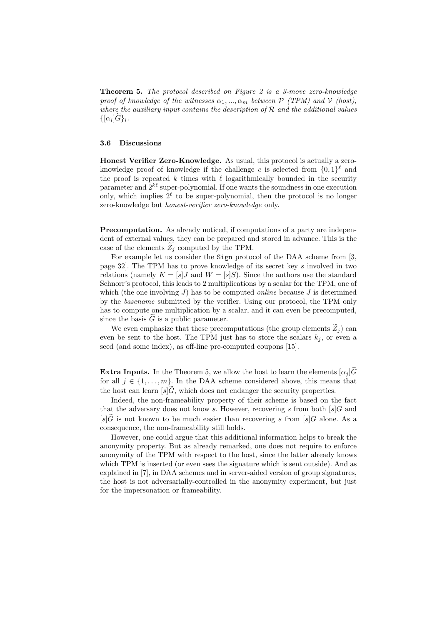Theorem 5. The protocol described on Figure 2 is a 3-move zero-knowledge proof of knowledge of the witnesses  $\alpha_1, ..., \alpha_m$  between  $P$  (TPM) and V (host), where the auxiliary input contains the description of  $R$  and the additional values  $\{[\alpha_i]G\}_i.$ 

#### 3.6 Discussions

Honest Verifier Zero-Knowledge. As usual, this protocol is actually a zeroknowledge proof of knowledge if the challenge c is selected from  $\{0,1\}^{\ell}$  and the proof is repeated k times with  $\ell$  logarithmically bounded in the security parameter and  $2^{k\ell}$  super-polynomial. If one wants the soundness in one execution only, which implies  $2^{\ell}$  to be super-polynomial, then the protocol is no longer zero-knowledge but honest-verifier zero-knowledge only.

Precomputation. As already noticed, if computations of a party are independent of external values, they can be prepared and stored in advance. This is the case of the elements  $Z_i$  computed by the TPM.

For example let us consider the Sign protocol of the DAA scheme from [3, page 32]. The TPM has to prove knowledge of its secret key s involved in two relations (namely  $K = [s]J$  and  $W = [s]S$ ). Since the authors use the standard Schnorr's protocol, this leads to 2 multiplications by a scalar for the TPM, one of which (the one involving  $J$ ) has to be computed *online* because  $J$  is determined by the basename submitted by the verifier. Using our protocol, the TPM only has to compute one multiplication by a scalar, and it can even be precomputed, since the basis  $G$  is a public parameter.

We even emphasize that these precomputations (the group elements  $\widetilde{Z}_i$ ) can even be sent to the host. The TPM just has to store the scalars  $k_i$ , or even a seed (and some index), as off-line pre-computed coupons [15].

**Extra Inputs.** In the Theorem 5, we allow the host to learn the elements  $[\alpha_i]\tilde{G}$ for all  $j \in \{1, \ldots, m\}$ . In the DAA scheme considered above, this means that the host can learn  $[s]\tilde{G}$ , which does not endanger the security properties.

Indeed, the non-frameability property of their scheme is based on the fact that the adversary does not know s. However, recovering s from both  $[s]$ G and  $[s]\tilde{G}$  is not known to be much easier than recovering s from  $[s]G$  alone. As a consequence, the non-frameability still holds.

However, one could argue that this additional information helps to break the anonymity property. But as already remarked, one does not require to enforce anonymity of the TPM with respect to the host, since the latter already knows which TPM is inserted (or even sees the signature which is sent outside). And as explained in [7], in DAA schemes and in server-aided version of group signatures, the host is not adversarially-controlled in the anonymity experiment, but just for the impersonation or frameability.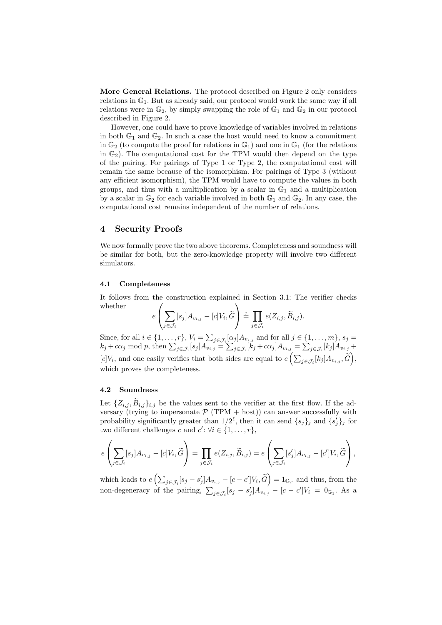More General Relations. The protocol described on Figure 2 only considers relations in  $\mathbb{G}_1$ . But as already said, our protocol would work the same way if all relations were in  $\mathbb{G}_2$ , by simply swapping the role of  $\mathbb{G}_1$  and  $\mathbb{G}_2$  in our protocol described in Figure 2.

However, one could have to prove knowledge of variables involved in relations in both  $\mathbb{G}_1$  and  $\mathbb{G}_2$ . In such a case the host would need to know a commitment in  $\mathbb{G}_2$  (to compute the proof for relations in  $\mathbb{G}_1$ ) and one in  $\mathbb{G}_1$  (for the relations in  $\mathbb{G}_2$ ). The computational cost for the TPM would then depend on the type of the pairing. For pairings of Type 1 or Type 2, the computational cost will remain the same because of the isomorphism. For pairings of Type 3 (without any efficient isomorphism), the TPM would have to compute the values in both groups, and thus with a multiplication by a scalar in  $\mathbb{G}_1$  and a multiplication by a scalar in  $\mathbb{G}_2$  for each variable involved in both  $\mathbb{G}_1$  and  $\mathbb{G}_2$ . In any case, the computational cost remains independent of the number of relations.

## 4 Security Proofs

We now formally prove the two above theorems. Completeness and soundness will be similar for both, but the zero-knowledge property will involve two different simulators.

#### 4.1 Completeness

It follows from the construction explained in Section 3.1: The verifier checks whether  $\sqrt{ }$  $\setminus$ 

$$
e\left(\sum_{j\in\mathcal{J}_i}[s_j]A_{v_{i,j}}-[c]V_i,\widetilde{G}\right)\stackrel{\text{\tiny ?}}{=}\prod_{j\in\mathcal{J}_i}e(Z_{i,j},\widetilde{B}_{i,j}).
$$

Since, for all  $i \in \{1, \ldots, r\}$ ,  $V_i = \sum_{j \in \mathcal{J}_i} \alpha_j A_{v_{i,j}}$  and for all  $j \in \{1, \ldots, m\}$ ,  $s_j =$  $k_j + c\alpha_j \mod p$ , then  $\sum_{j \in \mathcal{J}_i} [s_j] A_{v_{i,j}} = \sum_{j \in \mathcal{J}_i} [k_j + c\alpha_j] A_{v_{i,j}} = \sum_{j \in \mathcal{J}_i} [k_j] A_{v_{i,j}} +$  $[c]V_i$ , and one easily verifies that both sides are equal to  $e\left(\sum_{j\in\mathcal{J}_i}[k_j]A_{v_{i,j}},\widetilde{G}\right)$ , which proves the completeness.

#### 4.2 Soundness

Let  $\{Z_{i,j}, \overline{B}_{i,j}\}_{i,j}$  be the values sent to the verifier at the first flow. If the adversary (trying to impersonate  $P(TPM + host)$ ) can answer successfully with probability significantly greater than  $1/2^{\ell}$ , then it can send  $\{s_j\}_j$  and  $\{s'_j\}_j$  for two different challenges c and  $c'$ :  $\forall i \in \{1, ..., r\},\$ 

$$
e\left(\sum_{j\in\mathcal{J}_i}[s_j]A_{v_{i,j}}-[c]V_i,\widetilde{G}\right)=\prod_{j\in\mathcal{J}_i}e(Z_{i,j},\widetilde{B}_{i,j})=e\left(\sum_{j\in\mathcal{J}_i}[s'_j]A_{v_{i,j}}-[c']V_i,\widetilde{G}\right),
$$

which leads to  $e\left(\sum_{j\in\mathcal{J}_i} [s_j-s'_j]A_{v_{i,j}} - [c-c']V_i, \widetilde{G}\right) = 1_{\mathbb{G}_T}$  and thus, from the non-degeneracy of the pairing,  $\sum_{j\in\mathcal{J}_i}[s_j-s'_j]A_{v_{i,j}}-[c-c']V_i=0_{\mathbb{G}_1}$ . As a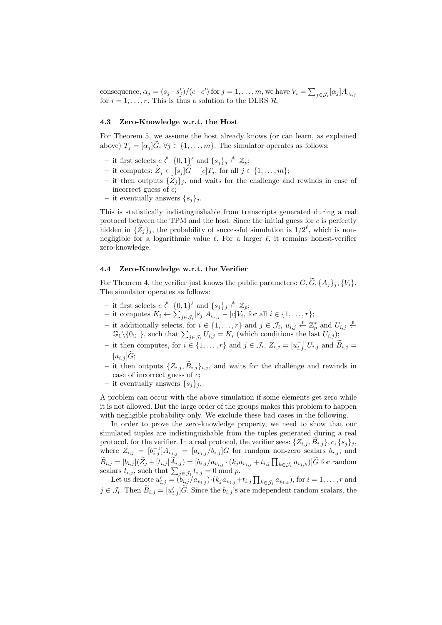consequence,  $\alpha_j = (s_j - s'_j)/(c - c')$  for  $j = 1, ..., m$ , we have  $V_i = \sum_{j \in \mathcal{J}_i} [\alpha_j] A_{v_{i,j}}$ for  $i = 1, \ldots, r$ . This is thus a solution to the DLRS  $\mathcal{R}$ .

#### 4.3 Zero-Knowledge w.r.t. the Host

For Theorem 5, we assume the host already knows (or can learn, as explained above)  $T_i = [\alpha_i] \ddot{G}, \forall j \in \{1, \ldots, m\}.$  The simulator operates as follows:

- − it first selects  $c \stackrel{\$}{\leftarrow} \{0,1\}^{\ell}$  and  $\{s_j\}_j \stackrel{\$}{\leftarrow} \mathbb{Z}_p$ ;
- it computes:  $\widetilde{Z}_j \leftarrow [s_j] \widetilde{G} [c]T_j$ , for all  $j \in \{1, \ldots, m\};$
- it then outputs  ${\{\tilde{Z}_j\}_j}$ , and waits for the challenge and rewinds in case of incorrect guess of c;
- it eventually answers  $\{s_j\}_j$ .

This is statistically indistinguishable from transcripts generated during a real protocol between the TPM and the host. Since the initial guess for  $c$  is perfectly hidden in  $\{\tilde{Z}_j\}_j$ , the probability of successful simulation is  $1/2^{\ell}$ , which is nonnegligible for a logarithmic value  $\ell$ . For a larger  $\ell$ , it remains honest-verifier zero-knowledge.

## 4.4 Zero-Knowledge w.r.t. the Verifier

For Theorem 4, the verifier just knows the public parameters:  $G, \widetilde{G}, \{A_i\}_i, \{V_i\}$ . The simulator operates as follows:

- − it first selects  $c \stackrel{\$}{\leftarrow} \{0,1\}^{\ell}$  and  $\{s_j\}_j \stackrel{\$}{\leftarrow} \mathbb{Z}_p$ ;
- it computes  $K_i$  ←  $\sum_{j \in \mathcal{J}_i} [s_j] A_{v_{i,j}} [c] V_i$ , for all  $i \in \{1, ..., r\}$ ;
- − it additionally selects, for  $i \in \{1, ..., r\}$  and  $j \in \mathcal{J}_i$ ,  $u_{i,j} \stackrel{\$}{\leftarrow} \mathbb{Z}_p^*$  and  $U_{i,j} \stackrel{\$}{\leftarrow}$  $\mathbb{G}_1 \setminus \{0_{\mathbb{G}_1}\}\$ , such that  $\sum_{j \in \mathcal{J}_i} U_{i,j} = K_i$  (which conditions the last  $U_{i,j}$ );
- it then computes, for  $i \in \{1, ..., r\}$  and  $j \in \mathcal{J}_i$ ,  $Z_{i,j} = [u_{i,j}^{-1}]U_{i,j}$  and  $\widetilde{B}_{i,j} = \widetilde{B}_{i,j}$  $[u_{i,j}]\tilde{G};$
- it then outputs  $\{Z_{i,j}, B_{i,j}\}_{i,j}$ , and waits for the challenge and rewinds in case of incorrect guess of c;
- it eventually answers  $\{s_j\}_j$ .

A problem can occur with the above simulation if some elements get zero while it is not allowed. But the large order of the groups makes this problem to happen with negligible probability only. We exclude these bad cases in the following.

In order to prove the zero-knowledge property, we need to show that our simulated tuples are indistinguishable from the tuples generated during a real protocol, for the verifier. In a real protocol, the verifier sees:  $\{Z_{i,j}, \widetilde{B}_{i,j}\}, c, \{s_j\}_j$ , where  $Z_{i,j} = [b_{i,j}^{-1}]A_{v_{i,j}} = [a_{v_{i,j}}/b_{i,j}]G$  for random non-zero scalars  $b_{i,j}$ , and  $B_{i,j} = [b_{i,j}](Z_j + [t_{i,j}]A_{i,j}) = [b_{i,j}/a_{v_{i,j}} \cdot (k_j a_{v_{i,j}} + t_{i,j} \prod_{k \in \mathcal{J}_i} a_{v_{i,k}})]G$  for random scalars  $t_{i,j}$ , such that  $\sum_{j \in \mathcal{J}_i} t_{i,j} = 0 \text{ mod } p$ .

Let us denote  $u'_{i,j} = (b_{i,j}/a_{v_{i,j}}) \cdot (k_j a_{v_{i,j}} + t_{i,j} \prod_{k \in \mathcal{J}_i} a_{v_{i,k}})$ , for  $i = 1, \ldots, r$  and  $j \in \mathcal{J}_i$ . Then  $\widetilde{B}_{i,j} = [u'_{i,j}]\widetilde{G}$ . Since the  $b_{i,j}$ 's are independent random scalars, the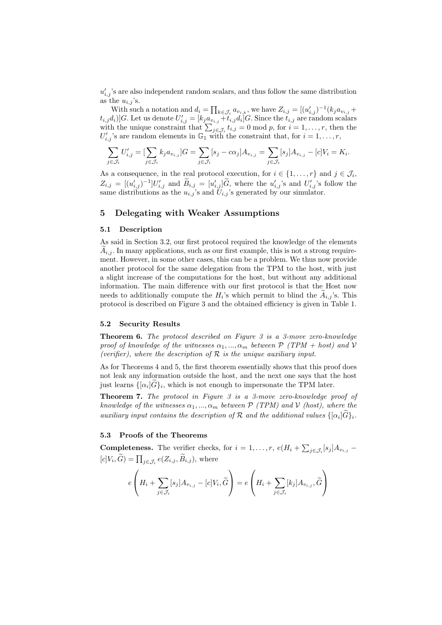$u'_{i,j}$ 's are also independent random scalars, and thus follow the same distribution as the  $u_{i,j}$ 's.

With such a notation and  $d_i = \prod_{k \in \mathcal{J}_i} a_{v_{i,k}}$ , we have  $Z_{i,j} = [(u'_{i,j})^{-1}(k_j a_{v_{i,j}} +$  $[t_{i,j}d_i)]G.$  Let us denote  $U'_{i,j} = [k_j a_{v_{i,j}} + t_{i,j}d_i]G.$  Since the  $t_{i,j}$  are random scalars with the unique constraint that  $\sum_{j\in\mathcal{J}_i} t_{i,j} = 0 \mod p$ , for  $i = 1, \ldots, r$ , then the  $U'_{i,j}$ 's are random elements in  $\mathbb{G}_1$  with the constraint that, for  $i=1,\ldots,r$ ,

$$
\sum_{j\in\mathcal{J}_i}U'_{i,j}=[\sum_{j\in\mathcal{J}_i}k_ja_{v_{i,j}}]G=\sum_{j\in\mathcal{J}_i}[s_j-c\alpha_j]A_{v_{i,j}}=\sum_{j\in\mathcal{J}_i}[s_j]A_{v_{i,j}}-[c]V_i=K_i.
$$

As a consequence, in the real protocol execution, for  $i \in \{1, ..., r\}$  and  $j \in \mathcal{J}_i$ ,  $Z_{i,j} = [ (u'_{i,j})^{-1}] U'_{i,j}$  and  $\widetilde{B}_{i,j} = [u'_{i,j}] \widetilde{G}$ , where the  $u'_{i,j}$ 's and  $U'_{i,j}$ 's follow the same distributions as the  $u_{i,j}$ 's and  $U_{i,j}$ 's generated by our simulator.

## 5 Delegating with Weaker Assumptions

#### 5.1 Description

As said in Section 3.2, our first protocol required the knowledge of the elements  $A_{i,j}$ . In many applications, such as our first example, this is not a strong requirement. However, in some other cases, this can be a problem. We thus now provide another protocol for the same delegation from the TPM to the host, with just a slight increase of the computations for the host, but without any additional information. The main difference with our first protocol is that the Host now needs to additionally compute the  $H_i$ 's which permit to blind the  $A_{i,j}$ 's. This protocol is described on Figure 3 and the obtained efficiency is given in Table 1.

## 5.2 Security Results

Theorem 6. The protocol described on Figure 3 is a 3-move zero-knowledge proof of knowledge of the witnesses  $\alpha_1, ..., \alpha_m$  between  $\mathcal{P}$  (TPM + host) and V (verifier), where the description of  $R$  is the unique auxiliary input.

As for Theorems 4 and 5, the first theorem essentially shows that this proof does not leak any information outside the host, and the next one says that the host just learns  $\{[\alpha_i]G\}_i$ , which is not enough to impersonate the TPM later.

Theorem 7. The protocol in Figure 3 is a 3-move zero-knowledge proof of knowledge of the witnesses  $\alpha_1, ..., \alpha_m$  between  $P$  (TPM) and V (host), where the auxiliary input contains the description of  $\mathcal R$  and the additional values  $\{[\alpha_i]G\}_i$ .

#### 5.3 Proofs of the Theorems

**Completeness.** The verifier checks, for  $i = 1, ..., r$ ,  $e(H_i + \sum_{j \in \mathcal{J}_i} [s_j] A_{v_{i,j}} [c]V_i, G$  =  $\prod_{j \in \mathcal{J}_i} e(Z_{i,j}, B_{i,j})$ , where

$$
e\left(H_i + \sum_{j \in \mathcal{J}_i} [s_j]A_{v_{i,j}} - [c]V_i, \widetilde{G}\right) = e\left(H_i + \sum_{j \in \mathcal{J}_i} [k_j]A_{v_{i,j}}, \widetilde{G}\right)
$$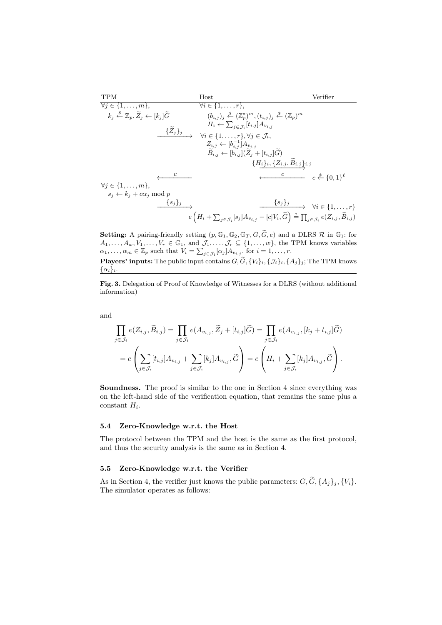TPM Host Verifier ∀j ∈ {1, . . . , m}, ∀i ∈ {1, . . . , r}, kj \$ <sup>←</sup> <sup>Z</sup>p,Ze<sup>j</sup> <sup>←</sup> [k<sup>j</sup> ]G<sup>e</sup> (bi,j )<sup>j</sup> \$← (Z ∗ p) <sup>m</sup>,(ti,j )<sup>j</sup> \$← (Zp) m H<sup>i</sup> ← P j∈Ji [ti,j ]A<sup>v</sup>i,j {Ze<sup>j</sup>}<sup>j</sup> −−−−−−−−→ ∀i ∈ {1, . . . , r}, ∀j ∈ Ji, Zi,j ← [b −1 i,j ]A<sup>v</sup>i,j <sup>B</sup>ei,j <sup>←</sup> [bi,j ](Ze<sup>j</sup> + [ti,j ]Ge) {Hi}i, {Zi,j , <sup>B</sup>ei,j}i,j −−−−−−−−−−−→ <sup>c</sup> ←−−−−−−−− <sup>c</sup> ←−−−−−−−−−−− <sup>c</sup> \$← {0, 1} ` ∀j ∈ {1, . . . , m}, s<sup>j</sup> ← k<sup>j</sup> + cα<sup>j</sup> mod p {sj}<sup>j</sup> −−−−−−−−→ {sj}<sup>j</sup> −−−−−−−−−−−→ ∀i ∈ {1, . . . , r} e H<sup>i</sup> + P j∈Ji [s<sup>j</sup> ]A<sup>v</sup>i,j <sup>−</sup> [c]Vi, <sup>G</sup><sup>e</sup> ?= Q j∈Ji <sup>e</sup>(Zi,j , <sup>B</sup>ei,j )

Setting: A pairing-friendly setting  $(p, \mathbb{G}_1, \mathbb{G}_2, \mathbb{G}_T, G, \widetilde{G}, e)$  and a DLRS  $\mathcal R$  in  $\mathbb{G}_1$ : for  $A_1, \ldots, A_w, V_1, \ldots, V_r \in \mathbb{G}_1$ , and  $\mathcal{J}_1, \ldots, \mathcal{J}_r \subseteq \{1, \ldots, w\}$ , the TPM knows variables  $\alpha_1, \ldots, \alpha_m \in \mathbb{Z}_p$  such that  $V_i = \sum_{j \in \mathcal{J}_i} [\alpha_j] A_{v_{i,j}},$  for  $i = 1, \ldots, r$ . **Players' inputs:** The public input contains  $G, \widetilde{G}, \{V_i\}_i, \{J_i\}_i, \{A_j\}_j$ ; The TPM knows

 $\{\alpha_i\}_i$ .

Fig. 3. Delegation of Proof of Knowledge of Witnesses for a DLRS (without additional information)

and

$$
\prod_{j \in \mathcal{J}_i} e(Z_{i,j}, \widetilde{B}_{i,j}) = \prod_{j \in \mathcal{J}_i} e(A_{v_{i,j}}, \widetilde{Z}_j + [t_{i,j}]\widetilde{G}) = \prod_{j \in \mathcal{J}_i} e(A_{v_{i,j}}, [k_j + t_{i,j}]\widetilde{G})
$$
\n
$$
= e\left(\sum_{j \in \mathcal{J}_i} [t_{i,j}] A_{v_{i,j}} + \sum_{j \in \mathcal{J}_i} [k_j] A_{v_{i,j}}, \widetilde{G}\right) = e\left(H_i + \sum_{j \in \mathcal{J}_i} [k_j] A_{v_{i,j}}, \widetilde{G}\right).
$$

Soundness. The proof is similar to the one in Section 4 since everything was on the left-hand side of the verification equation, that remains the same plus a  $constant$   $H_i$ .

### 5.4 Zero-Knowledge w.r.t. the Host

The protocol between the TPM and the host is the same as the first protocol, and thus the security analysis is the same as in Section 4.

## 5.5 Zero-Knowledge w.r.t. the Verifier

As in Section 4, the verifier just knows the public parameters:  $G, \widetilde{G}, \{A_j\}_j, \{V_i\}$ . The simulator operates as follows: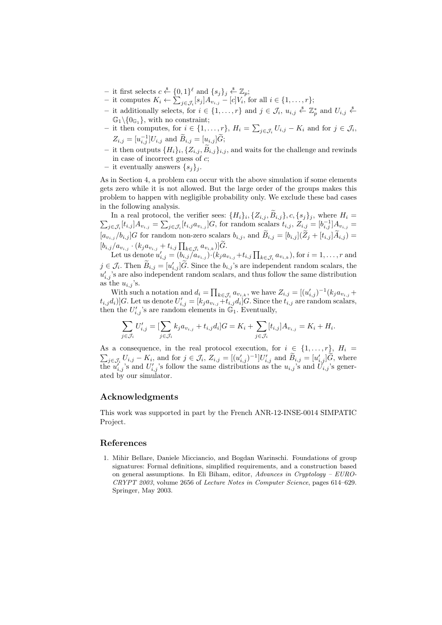- − it first selects  $c \stackrel{\$}{\leftarrow} \{0,1\}^{\ell}$  and  $\{s_j\}_j \stackrel{\$}{\leftarrow} \mathbb{Z}_p$ ;
- it computes  $K_i$  ←  $\sum_{j \in \mathcal{J}_i} [s_j] A_{v_{i,j}} [c] V_i$ , for all  $i \in \{1, ..., r\}$ ;
- − it additionally selects, for  $i \in \{1, ..., r\}$  and  $j \in \mathcal{J}_i$ ,  $u_{i,j} \stackrel{\$}{\leftarrow} \mathbb{Z}_p^*$  and  $U_{i,j} \stackrel{\$}{\leftarrow}$  $\mathbb{G}_1 \backslash \{0_{\mathbb{G}_1}\}\$ , with no constraint;
- − it then computes, for  $i \in \{1, ..., r\}$ ,  $H_i = \sum_{j \in \mathcal{J}_i} U_{i,j} K_i$  and for  $j \in \mathcal{J}_i$ ,  $Z_{i,j} = [u_{i,j}^{-1}]U_{i,j}$  and  $\widetilde{B}_{i,j} = [u_{i,j}]\widetilde{G};$
- it then outputs  $\{H_i\}_i, \{Z_{i,j}, B_{i,j}\}_{i,j}$ , and waits for the challenge and rewinds in case of incorrect guess of  $c$ ;
- it eventually answers  $\{s_i\}_i$ .

As in Section 4, a problem can occur with the above simulation if some elements gets zero while it is not allowed. But the large order of the groups makes this problem to happen with negligible probability only. We exclude these bad cases in the following analysis.

In a real protocol, the verifier sees:  $\{H_i\}_i, \{Z_{i,j}, B_{i,j}\}, c, \{s_j\}_j$ , where  $H_i =$ In a real protocol, the verifier sees:  $\{H_i\}_i, \{Z_{i,j}, B_{i,j}\}, c, \{s_j\}_j$ , where  $H_i = \sum_{j \in \mathcal{J}_i} [t_{i,j}] A_{v_{i,j}} = \sum_{j \in \mathcal{J}_i} [t_{i,j} a_{v_{i,j}}] G$ , for random scalars  $t_{i,j}, Z_{i,j} = [b_{i,j}^{-1}] A_{v_{i,j}} =$  $[a_{v_{i,j}}/b_{i,j}]G$  for random non-zero scalars  $b_{i,j}$ , and  $\widetilde{B}_{i,j} = [b_{i,j}](\widetilde{Z}_j + [t_{i,j}]\widetilde{A}_{i,j}) =$  $[b_{i,j}/a_{v_{i,j}} \cdot (k_j a_{v_{i,j}} + t_{i,j} \prod_{k \in \mathcal{J}_i} a_{v_{i,k}})]G.$ <br>Let us denote  $u'_{i,j} = (b_{i,j}/a_{v_{i,j}}) \cdot (k_j a_{v_{i,j}} + t_{i,j} \prod_{k \in \mathcal{J}_i} a_{v_{i,k}})$ , for  $i = 1, ..., r$  and

 $j \in \mathcal{J}_i$ . Then  $\widetilde{B}_{i,j} = [u'_{i,j}]\widetilde{G}$ . Since the  $b_{i,j}$ 's are independent random scalars, the  $u'_{i,j}$ 's are also independent random scalars, and thus follow the same distribution as the  $u_{i,j}$ 's.

With such a notation and  $d_i = \prod_{k \in \mathcal{J}_i} a_{v_{i,k}}$ , we have  $Z_{i,j} = [(u'_{i,j})^{-1}(k_j a_{v_{i,j}} +$  $[t_{i,j}d_i)]G.$  Let us denote  $U'_{i,j} = [k_j a_{v_{i,j}} + t_{i,j}d_i]G.$  Since the  $t_{i,j}$  are random scalars, then the  $U'_{i,j}$ 's are random elements in  $\mathbb{G}_1$ . Eventually,

$$
\sum_{j \in \mathcal{J}_i} U'_{i,j} = \left[ \sum_{j \in \mathcal{J}_i} k_j a_{v_{i,j}} + t_{i,j} d_i \right] G = K_i + \sum_{j \in \mathcal{J}_i} [t_{i,j}] A_{v_{i,j}} = K_i + H_i.
$$

As a consequence, in the real protocol execution, for  $i \in \{1, ..., r\}$ ,  $H_i =$  $\sum_{j \in \mathcal{J}_i} U_{i,j} - K_i$ , and for  $j \in \mathcal{J}_i$ ,  $Z_{i,j} = [(u'_{i,j})^{-1}]U'_{i,j}$  and  $\tilde{B}_{i,j} = [u'_{i,j}]\tilde{G}$ , where the  $u'_{i,j}$ 's and  $U'_{i,j}$ 's follow the same distributions as the  $u_{i,j}$ 's and  $U_{i,j}$ 's generated by our simulator.

## Acknowledgments

This work was supported in part by the French ANR-12-INSE-0014 SIMPATIC Project.

## References

1. Mihir Bellare, Daniele Micciancio, and Bogdan Warinschi. Foundations of group signatures: Formal definitions, simplified requirements, and a construction based on general assumptions. In Eli Biham, editor, Advances in Cryptology – EURO-CRYPT 2003, volume 2656 of Lecture Notes in Computer Science, pages 614–629. Springer, May 2003.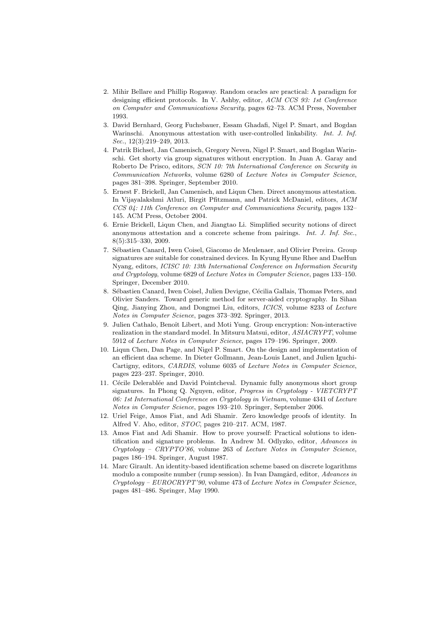- 2. Mihir Bellare and Phillip Rogaway. Random oracles are practical: A paradigm for designing efficient protocols. In V. Ashby, editor, ACM CCS 93: 1st Conference on Computer and Communications Security, pages 62–73. ACM Press, November 1993.
- 3. David Bernhard, Georg Fuchsbauer, Essam Ghadafi, Nigel P. Smart, and Bogdan Warinschi. Anonymous attestation with user-controlled linkability. Int. J. Inf. Sec., 12(3):219–249, 2013.
- 4. Patrik Bichsel, Jan Camenisch, Gregory Neven, Nigel P. Smart, and Bogdan Warinschi. Get shorty via group signatures without encryption. In Juan A. Garay and Roberto De Prisco, editors, SCN 10: 7th International Conference on Security in Communication Networks, volume 6280 of Lecture Notes in Computer Science, pages 381–398. Springer, September 2010.
- 5. Ernest F. Brickell, Jan Camenisch, and Liqun Chen. Direct anonymous attestation. In Vijayalakshmi Atluri, Birgit Pfitzmann, and Patrick McDaniel, editors, ACM CCS 04: 11th Conference on Computer and Communications Security, pages 132– 145. ACM Press, October 2004.
- 6. Ernie Brickell, Liqun Chen, and Jiangtao Li. Simplified security notions of direct anonymous attestation and a concrete scheme from pairings. Int. J. Inf. Sec., 8(5):315–330, 2009.
- 7. Sébastien Canard, Iwen Coisel, Giacomo de Meulenaer, and Olivier Pereira. Group signatures are suitable for constrained devices. In Kyung Hyune Rhee and DaeHun Nyang, editors, ICISC 10: 13th International Conference on Information Security and Cryptology, volume 6829 of Lecture Notes in Computer Science, pages 133–150. Springer, December 2010.
- 8. Sébastien Canard, Iwen Coisel, Julien Devigne, Cécilia Gallais, Thomas Peters, and Olivier Sanders. Toward generic method for server-aided cryptography. In Sihan Qing, Jianying Zhou, and Dongmei Liu, editors, ICICS, volume 8233 of Lecture Notes in Computer Science, pages 373–392. Springer, 2013.
- 9. Julien Cathalo, Benoît Libert, and Moti Yung. Group encryption: Non-interactive realization in the standard model. In Mitsuru Matsui, editor, ASIACRYPT, volume 5912 of Lecture Notes in Computer Science, pages 179–196. Springer, 2009.
- 10. Liqun Chen, Dan Page, and Nigel P. Smart. On the design and implementation of an efficient daa scheme. In Dieter Gollmann, Jean-Louis Lanet, and Julien Iguchi-Cartigny, editors, CARDIS, volume 6035 of Lecture Notes in Computer Science, pages 223–237. Springer, 2010.
- 11. Cécile Delerablée and David Pointcheval. Dynamic fully anonymous short group signatures. In Phong Q. Nguyen, editor, Progress in Cryptology - VIETCRYPT 06: 1st International Conference on Cryptology in Vietnam, volume 4341 of Lecture Notes in Computer Science, pages 193–210. Springer, September 2006.
- 12. Uriel Feige, Amos Fiat, and Adi Shamir. Zero knowledge proofs of identity. In Alfred V. Aho, editor, STOC, pages 210–217. ACM, 1987.
- 13. Amos Fiat and Adi Shamir. How to prove yourself: Practical solutions to identification and signature problems. In Andrew M. Odlyzko, editor, Advances in Cryptology – CRYPTO'86, volume 263 of Lecture Notes in Computer Science, pages 186–194. Springer, August 1987.
- 14. Marc Girault. An identity-based identification scheme based on discrete logarithms modulo a composite number (rump session). In Ivan Damgård, editor, Advances in  $Cryptology - EUROCRYPT'90$ , volume 473 of Lecture Notes in Computer Science, pages 481–486. Springer, May 1990.